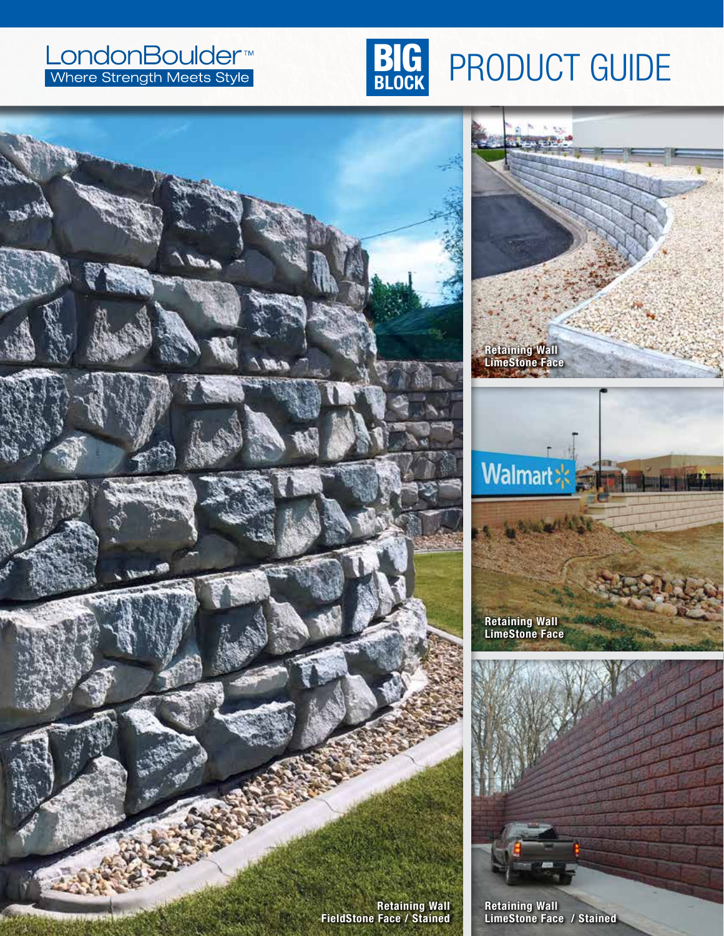#### LondonBoulder<sup>™</sup><br> **BLOCK** PRODUCT GUIDE **BIG**

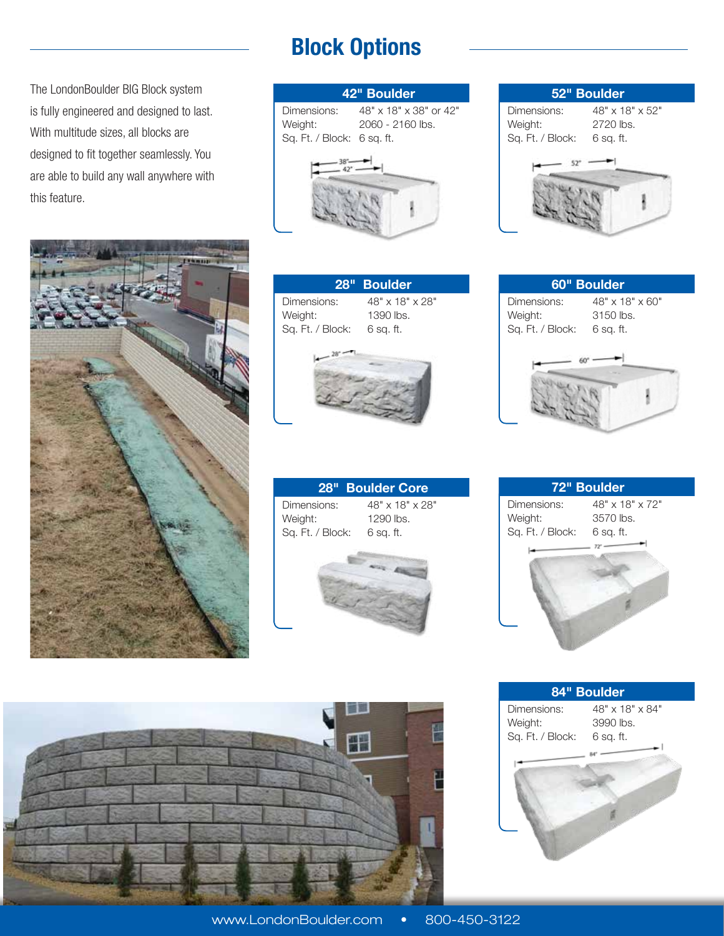The LondonBoulder BIG Block system is fully engineered and designed to last. With multitude sizes, all blocks are designed to fit together seamlessly. You are able to build any wall anywhere with this feature.



### **Block Options**

















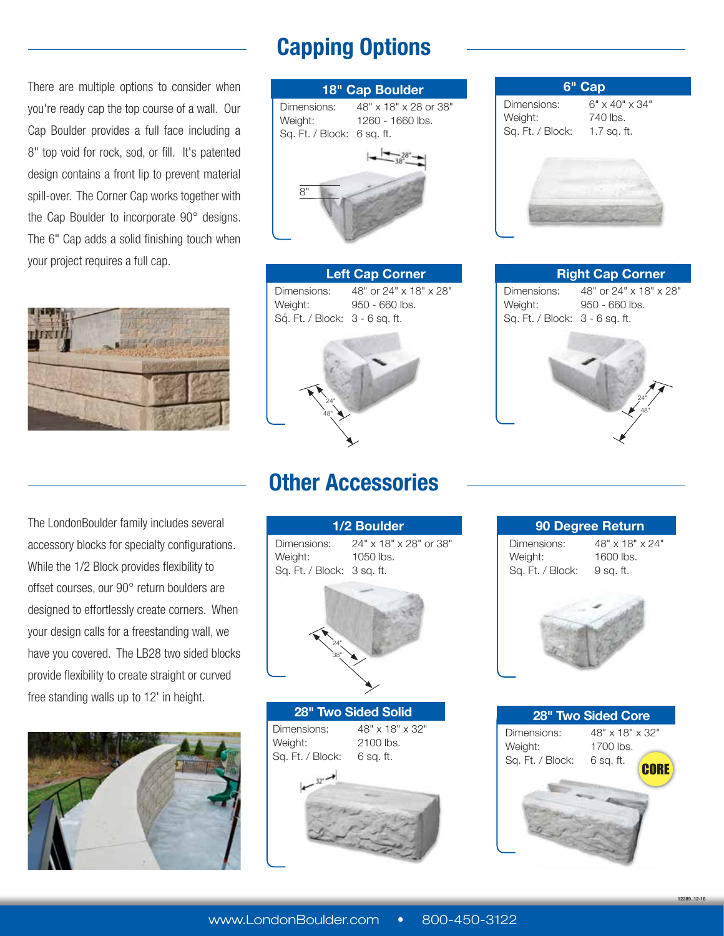## **Capping Options**

There are multiple options to consider when you're ready cap the top course of a wall. Our Cap Boulder provides a full face including a 8" top void for rock, sod, or fill. It's patented design contains a front lip to prevent material spill-over. The Corner Cap works together with the Cap Boulder to incorporate 90° designs. The 6" Cap adds a solid finishing touch when your project requires a full cap.



The LondonBoulder family includes several accessory blocks for specialty configurations. While the 1/2 Block provides flexibility to offset courses, our 90° return boulders are designed to effortlessly create corners. When your design calls for a freestanding wall, we have you covered. The LB28 two sided blocks provide flexibility to create straight or curved free standing walls up to 12' in height.



| 18" Cap Boulder            |                                   |
|----------------------------|-----------------------------------|
|                            | Dimensions: 48" x 18" x 28 or 38" |
| Weight:                    | 1260 - 1660 lbs.                  |
| Sq. Ft. / Block: 6 sq. ft. |                                   |
| R"                         |                                   |
|                            |                                   |

**Left Cap Corner** Dimensions: 48" or 24" x 18" x 28" Weight: 950 - 660 lbs. Sq. Ft. / Block: 3 - 6 sq. ft.



# **6" Cap** Dimensions: 6" x 40" x 34" Weight: 740 lbs. Sq. Ft. / Block: 1.7 sq. ft.

**Right Cap Corner** Dimensions: 48" or 24" x 18" x 28" Weight: 950 - 660 lbs. Sq. Ft. / Block: 3 - 6 sq. ft.



#### **Other Accessories**



**90 Degree Return** Dimensions: 48" x 18" x 24" Weight: 1600 lbs. Sq. Ft. / Block: 9 sq. ft. **28" Two Sided Core** Dimensions: 48" x 18" x 32"